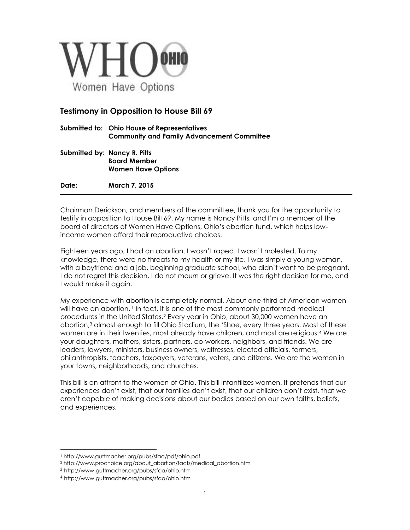

## **Testimony in Opposition to House Bill 69**

- **Submitted to: Ohio House of Representatives Community and Family Advancement Committee**
- **Submitted by: Nancy R. Pitts Board Member Women Have Options**

**Date: March 7, 2015**

Chairman Derickson, and members of the committee, thank you for the opportunity to testify in opposition to House Bill 69. My name is Nancy Pitts, and I'm a member of the board of directors of Women Have Options, Ohio's abortion fund, which helps lowincome women afford their reproductive choices.

Eighteen years ago, I had an abortion. I wasn't raped. I wasn't molested. To my knowledge, there were no threats to my health or my life. I was simply a young woman, with a boyfriend and a job, beginning graduate school, who didn't want to be pregnant. I do not regret this decision. I do not mourn or grieve. It was the right decision for me, and I would make it again.

My experience with abortion is completely normal. About one-third of American women will have an abortion. <sup>1</sup> In fact, it is one of the most commonly performed medical procedures in the United States.<sup>2</sup> Every year in Ohio, about 30,000 women have an abortion, <sup>3</sup> almost enough to fill Ohio Stadium, the 'Shoe, every three years. Most of these women are in their twenties, most already have children, and most are religious.<sup>4</sup> We are your daughters, mothers, sisters, partners, co-workers, neighbors, and friends. We are leaders, lawyers, ministers, business owners, waitresses, elected officials, farmers, philanthropists, teachers, taxpayers, veterans, voters, and citizens. We are the women in your towns, neighborhoods, and churches.

This bill is an affront to the women of Ohio. This bill infantilizes women. It pretends that our experiences don't exist, that our families don't exist, that our children don't exist, that we aren't capable of making decisions about our bodies based on our own faiths, beliefs, and experiences.

 $\overline{a}$ <sup>1</sup> http://www.guttmacher.org/pubs/sfaa/pdf/ohio.pdf

<sup>2</sup> http://www.prochoice.org/about\_abortion/facts/medical\_abortion.html

<sup>3</sup> <http://www.guttmacher.org/pubs/sfaa/ohio.html>

<sup>4</sup> <http://www.guttmacher.org/pubs/sfaa/ohio.html>